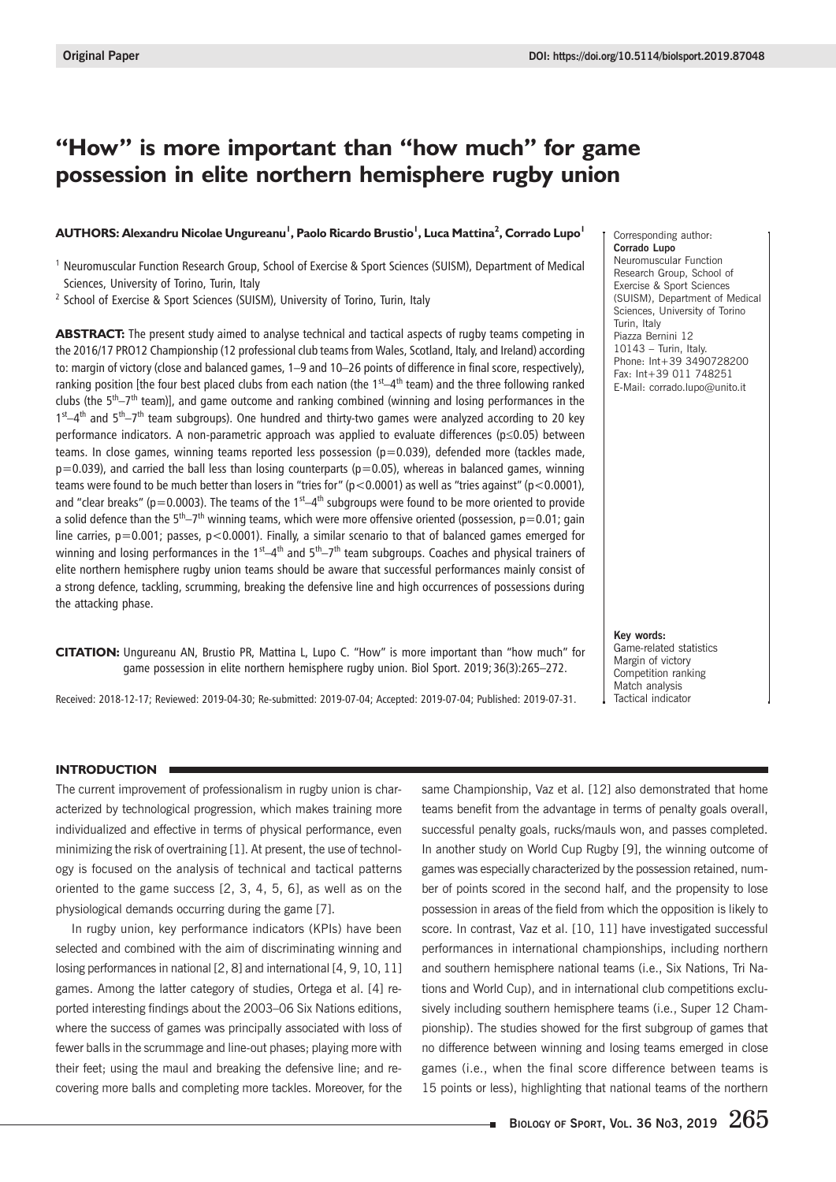# **"How" is more important than "how much" for game possession in elite northern hemisphere rugby union**

## **AUTHORS: Alexandru Nicolae Ungureanu<sup>1</sup> , Paolo Ricardo Brustio<sup>1</sup> , Luca Mattina<sup>2</sup> , Corrado Lupo<sup>1</sup>**

<sup>1</sup> Neuromuscular Function Research Group, School of Exercise & Sport Sciences (SUISM), Department of Medical Sciences, University of Torino, Turin, Italy

<sup>2</sup> School of Exercise & Sport Sciences (SUISM), University of Torino, Turin, Italy

**ABSTRACT:** The present study aimed to analyse technical and tactical aspects of rugby teams competing in the 2016/17 PRO12 Championship (12 professional club teams from Wales, Scotland, Italy, and Ireland) according to: margin of victory (close and balanced games, 1–9 and 10–26 points of difference in final score, respectively), ranking position [the four best placed clubs from each nation (the  $1<sup>st</sup>–4<sup>th</sup>$  team) and the three following ranked clubs (the  $5<sup>th</sup>-7<sup>th</sup>$  team)], and game outcome and ranking combined (winning and losing performances in the  $1<sup>st</sup>$ –4<sup>th</sup> and  $5<sup>th</sup>$ – $7<sup>th</sup>$  team subgroups). One hundred and thirty-two games were analyzed according to 20 key performance indicators. A non-parametric approach was applied to evaluate differences (p≤0.05) between teams. In close games, winning teams reported less possession (p=0.039), defended more (tackles made,  $p=0.039$ ), and carried the ball less than losing counterparts ( $p=0.05$ ), whereas in balanced games, winning teams were found to be much better than losers in "tries for" (p<0.0001) as well as "tries against" (p<0.0001), and "clear breaks" (p=0.0003). The teams of the  $1<sup>st</sup>-4<sup>th</sup>$  subgroups were found to be more oriented to provide a solid defence than the  $5<sup>th</sup>-7<sup>th</sup>$  winning teams, which were more offensive oriented (possession,  $p=0.01$ ; gain line carries,  $p=0.001$ ; passes,  $p<0.0001$ ). Finally, a similar scenario to that of balanced games emerged for winning and losing performances in the 1<sup>st</sup>–4<sup>th</sup> and  $5<sup>th</sup>$ -7<sup>th</sup> team subgroups. Coaches and physical trainers of elite northern hemisphere rugby union teams should be aware that successful performances mainly consist of a strong defence, tackling, scrumming, breaking the defensive line and high occurrences of possessions during the attacking phase.

**CITATION:** Ungureanu AN, Brustio PR, Mattina L, Lupo C. "How" is more important than "how much" for game possession in elite northern hemisphere rugby union. Biol Sport. 2019; 36(3):265–272.

Received: 2018-12-17; Reviewed: 2019-04-30; Re-submitted: 2019-07-04; Accepted: 2019-07-04; Published: 2019-07-31.

Corresponding author: **Corrado Lupo** Neuromuscular Function Research Group, School of Exercise & Sport Sciences (SUISM), Department of Medical Sciences, University of Torino Turin, Italy Piazza Bernini 12 10143 – Turin, Italy. Phone: Int+39 3490728200 Fax: Int+39 011 748251 E-Mail: corrado.lupo@unito.it

**Key words:** Game-related statistics Margin of victory Competition ranking Match analysis Tactical indicator

### **INTRODUCTION**

The current improvement of professionalism in rugby union is characterized by technological progression, which makes training more individualized and effective in terms of physical performance, even minimizing the risk of overtraining [1]. At present, the use of technology is focused on the analysis of technical and tactical patterns oriented to the game success [2, 3, 4, 5, 6], as well as on the physiological demands occurring during the game [7].

In rugby union, key performance indicators (KPIs) have been selected and combined with the aim of discriminating winning and losing performances in national [2, 8] and international [4, 9, 10, 11] games. Among the latter category of studies, Ortega et al. [4] reported interesting findings about the 2003–06 Six Nations editions, where the success of games was principally associated with loss of fewer balls in the scrummage and line-out phases; playing more with their feet; using the maul and breaking the defensive line; and recovering more balls and completing more tackles. Moreover, for the same Championship, Vaz et al. [12] also demonstrated that home teams benefit from the advantage in terms of penalty goals overall, successful penalty goals, rucks/mauls won, and passes completed. In another study on World Cup Rugby [9], the winning outcome of games was especially characterized by the possession retained, number of points scored in the second half, and the propensity to lose possession in areas of the field from which the opposition is likely to score. In contrast, Vaz et al. [10, 11] have investigated successful performances in international championships, including northern and southern hemisphere national teams (i.e., Six Nations, Tri Nations and World Cup), and in international club competitions exclusively including southern hemisphere teams (i.e., Super 12 Championship). The studies showed for the first subgroup of games that no difference between winning and losing teams emerged in close games (i.e., when the final score difference between teams is 15 points or less), highlighting that national teams of the northern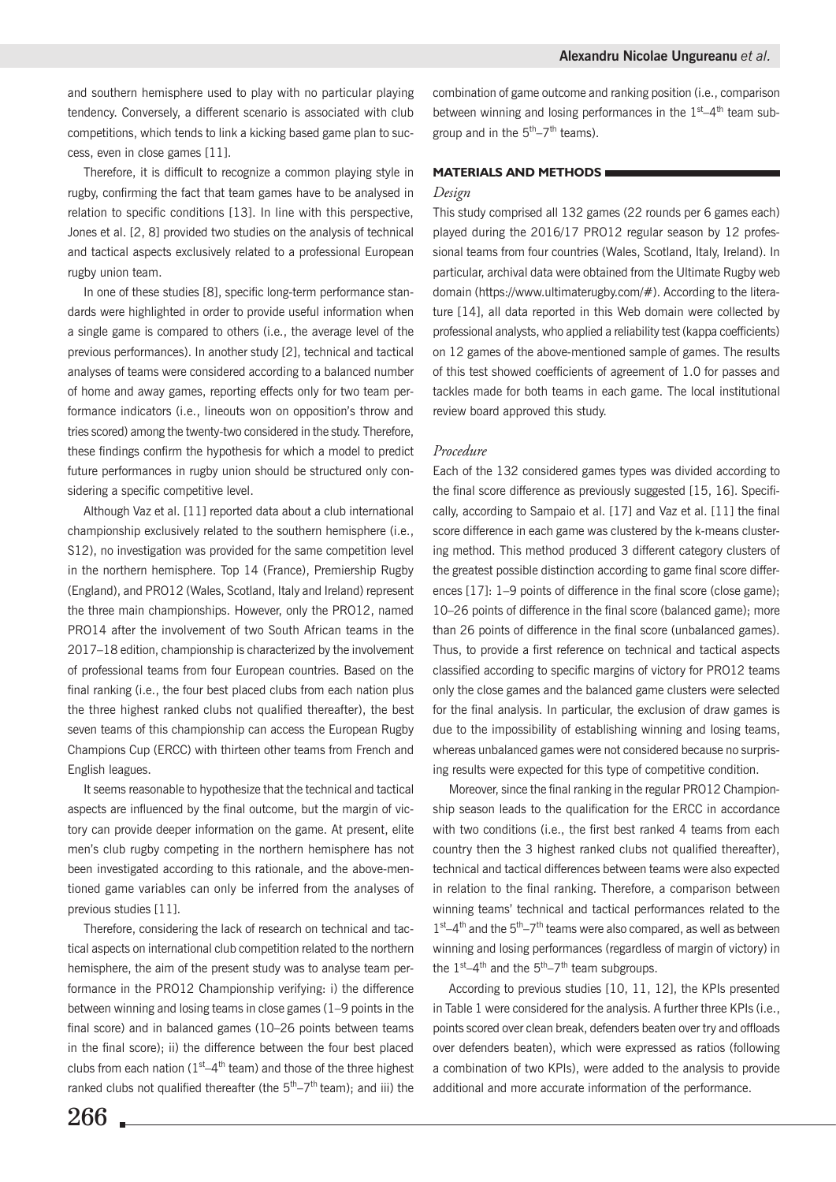and southern hemisphere used to play with no particular playing tendency. Conversely, a different scenario is associated with club competitions, which tends to link a kicking based game plan to success, even in close games [11].

Therefore, it is difficult to recognize a common playing style in rugby, confirming the fact that team games have to be analysed in relation to specific conditions [13]. In line with this perspective, Jones et al. [2, 8] provided two studies on the analysis of technical and tactical aspects exclusively related to a professional European rugby union team.

In one of these studies [8], specific long-term performance standards were highlighted in order to provide useful information when a single game is compared to others (i.e., the average level of the previous performances). In another study [2], technical and tactical analyses of teams were considered according to a balanced number of home and away games, reporting effects only for two team performance indicators (i.e., lineouts won on opposition's throw and tries scored) among the twenty-two considered in the study. Therefore, these findings confirm the hypothesis for which a model to predict future performances in rugby union should be structured only considering a specific competitive level.

Although Vaz et al. [11] reported data about a club international championship exclusively related to the southern hemisphere (i.e., S12), no investigation was provided for the same competition level in the northern hemisphere. Top 14 (France), Premiership Rugby (England), and PRO12 (Wales, Scotland, Italy and Ireland) represent the three main championships. However, only the PRO12, named PRO14 after the involvement of two South African teams in the 2017–18 edition, championship is characterized by the involvement of professional teams from four European countries. Based on the final ranking (i.e., the four best placed clubs from each nation plus the three highest ranked clubs not qualified thereafter), the best seven teams of this championship can access the European Rugby Champions Cup (ERCC) with thirteen other teams from French and English leagues.

It seems reasonable to hypothesize that the technical and tactical aspects are influenced by the final outcome, but the margin of victory can provide deeper information on the game. At present, elite men's club rugby competing in the northern hemisphere has not been investigated according to this rationale, and the above-mentioned game variables can only be inferred from the analyses of previous studies [11].

Therefore, considering the lack of research on technical and tactical aspects on international club competition related to the northern hemisphere, the aim of the present study was to analyse team performance in the PRO12 Championship verifying: i) the difference between winning and losing teams in close games (1–9 points in the final score) and in balanced games (10–26 points between teams in the final score); ii) the difference between the four best placed clubs from each nation ( $1<sup>st</sup>-4<sup>th</sup>$  team) and those of the three highest ranked clubs not qualified thereafter (the  $5<sup>th</sup>-7<sup>th</sup>$  team); and iii) the combination of game outcome and ranking position (i.e., comparison between winning and losing performances in the  $1<sup>st</sup>-4<sup>th</sup>$  team subgroup and in the  $5<sup>th</sup> - 7<sup>th</sup>$  teams).

#### **MATERIALS AND METHODS**

#### *Design*

This study comprised all 132 games (22 rounds per 6 games each) played during the 2016/17 PRO12 regular season by 12 professional teams from four countries (Wales, Scotland, Italy, Ireland). In particular, archival data were obtained from the Ultimate Rugby web domain (https://www.ultimaterugby.com/#). According to the literature [14], all data reported in this Web domain were collected by professional analysts, who applied a reliability test (kappa coefficients) on 12 games of the above-mentioned sample of games. The results of this test showed coefficients of agreement of 1.0 for passes and tackles made for both teams in each game. The local institutional review board approved this study.

#### *Procedure*

Each of the 132 considered games types was divided according to the final score difference as previously suggested [15, 16]. Specifically, according to Sampaio et al. [17] and Vaz et al. [11] the final score difference in each game was clustered by the k-means clustering method. This method produced 3 different category clusters of the greatest possible distinction according to game final score differences [17]: 1–9 points of difference in the final score (close game); 10–26 points of difference in the final score (balanced game); more than 26 points of difference in the final score (unbalanced games). Thus, to provide a first reference on technical and tactical aspects classified according to specific margins of victory for PRO12 teams only the close games and the balanced game clusters were selected for the final analysis. In particular, the exclusion of draw games is due to the impossibility of establishing winning and losing teams, whereas unbalanced games were not considered because no surprising results were expected for this type of competitive condition.

Moreover, since the final ranking in the regular PRO12 Championship season leads to the qualification for the ERCC in accordance with two conditions (i.e., the first best ranked 4 teams from each country then the 3 highest ranked clubs not qualified thereafter), technical and tactical differences between teams were also expected in relation to the final ranking. Therefore, a comparison between winning teams' technical and tactical performances related to the  $1<sup>st</sup>–4<sup>th</sup>$  and the  $5<sup>th</sup>–7<sup>th</sup>$  teams were also compared, as well as between winning and losing performances (regardless of margin of victory) in the  $1<sup>st</sup>-4<sup>th</sup>$  and the  $5<sup>th</sup>-7<sup>th</sup>$  team subgroups.

According to previous studies [10, 11, 12], the KPIs presented in Table 1 were considered for the analysis. A further three KPIs (i.e., points scored over clean break, defenders beaten over try and offloads over defenders beaten), which were expressed as ratios (following a combination of two KPIs), were added to the analysis to provide additional and more accurate information of the performance.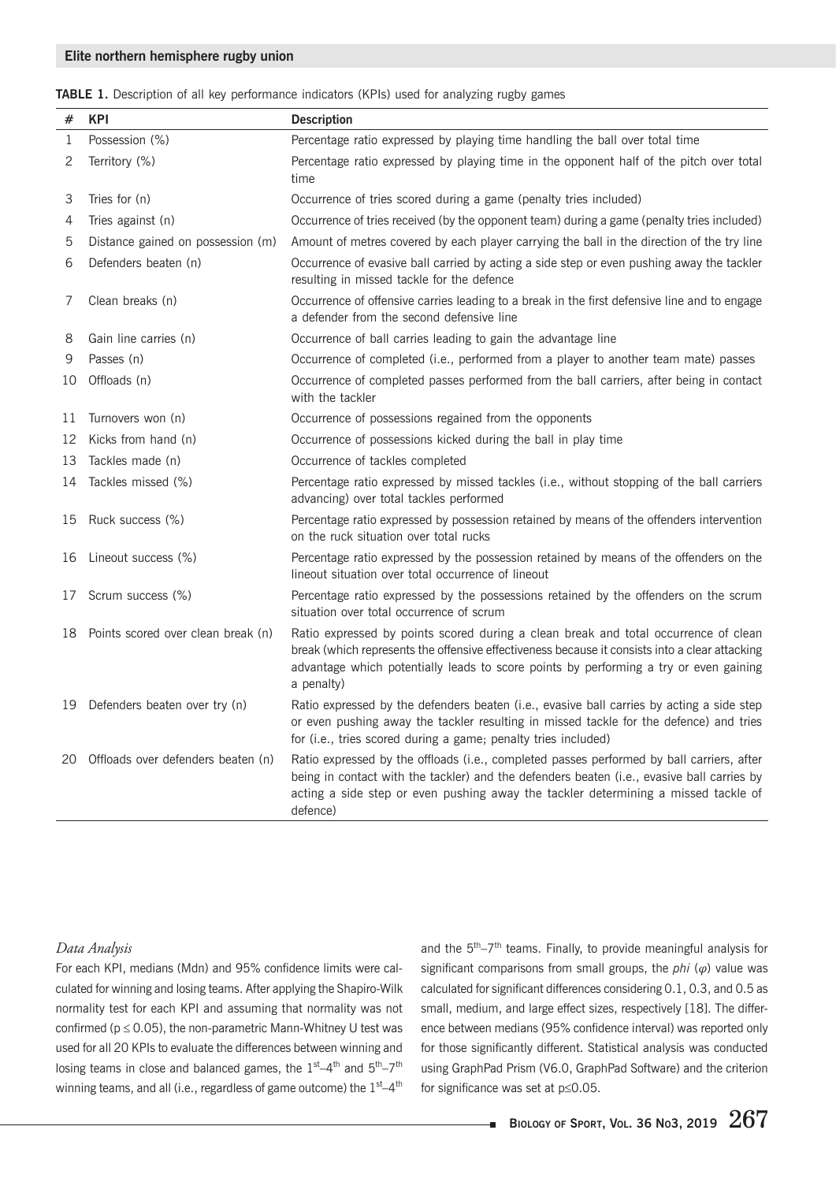|  |  |  |  | TABLE 1. Description of all key performance indicators (KPIs) used for analyzing rugby games |  |  |  |  |  |
|--|--|--|--|----------------------------------------------------------------------------------------------|--|--|--|--|--|
|--|--|--|--|----------------------------------------------------------------------------------------------|--|--|--|--|--|

| #            | <b>KPI</b>                         | <b>Description</b>                                                                                                                                                                                                                                                                           |
|--------------|------------------------------------|----------------------------------------------------------------------------------------------------------------------------------------------------------------------------------------------------------------------------------------------------------------------------------------------|
| $\mathbf{1}$ | Possession (%)                     | Percentage ratio expressed by playing time handling the ball over total time                                                                                                                                                                                                                 |
| 2            | Territory (%)                      | Percentage ratio expressed by playing time in the opponent half of the pitch over total<br>time                                                                                                                                                                                              |
| 3            | Tries for (n)                      | Occurrence of tries scored during a game (penalty tries included)                                                                                                                                                                                                                            |
| 4            | Tries against (n)                  | Occurrence of tries received (by the opponent team) during a game (penalty tries included)                                                                                                                                                                                                   |
| 5            | Distance gained on possession (m)  | Amount of metres covered by each player carrying the ball in the direction of the try line                                                                                                                                                                                                   |
| 6            | Defenders beaten (n)               | Occurrence of evasive ball carried by acting a side step or even pushing away the tackler<br>resulting in missed tackle for the defence                                                                                                                                                      |
| 7            | Clean breaks (n)                   | Occurrence of offensive carries leading to a break in the first defensive line and to engage<br>a defender from the second defensive line                                                                                                                                                    |
| 8            | Gain line carries (n)              | Occurrence of ball carries leading to gain the advantage line                                                                                                                                                                                                                                |
| 9            | Passes (n)                         | Occurrence of completed (i.e., performed from a player to another team mate) passes                                                                                                                                                                                                          |
| 10           | Offloads (n)                       | Occurrence of completed passes performed from the ball carriers, after being in contact<br>with the tackler                                                                                                                                                                                  |
| 11           | Turnovers won (n)                  | Occurrence of possessions regained from the opponents                                                                                                                                                                                                                                        |
| 12           | Kicks from hand (n)                | Occurrence of possessions kicked during the ball in play time                                                                                                                                                                                                                                |
| 13           | Tackles made (n)                   | Occurrence of tackles completed                                                                                                                                                                                                                                                              |
| 14           | Tackles missed (%)                 | Percentage ratio expressed by missed tackles (i.e., without stopping of the ball carriers<br>advancing) over total tackles performed                                                                                                                                                         |
| 15           | Ruck success (%)                   | Percentage ratio expressed by possession retained by means of the offenders intervention<br>on the ruck situation over total rucks                                                                                                                                                           |
| 16           | Lineout success (%)                | Percentage ratio expressed by the possession retained by means of the offenders on the<br>lineout situation over total occurrence of lineout                                                                                                                                                 |
| 17           | Scrum success (%)                  | Percentage ratio expressed by the possessions retained by the offenders on the scrum<br>situation over total occurrence of scrum                                                                                                                                                             |
| 18           | Points scored over clean break (n) | Ratio expressed by points scored during a clean break and total occurrence of clean<br>break (which represents the offensive effectiveness because it consists into a clear attacking<br>advantage which potentially leads to score points by performing a try or even gaining<br>a penalty) |
| 19.          | Defenders beaten over try (n)      | Ratio expressed by the defenders beaten (i.e., evasive ball carries by acting a side step<br>or even pushing away the tackler resulting in missed tackle for the defence) and tries<br>for (i.e., tries scored during a game; penalty tries included)                                        |
| 20           | Offloads over defenders beaten (n) | Ratio expressed by the offloads (i.e., completed passes performed by ball carriers, after<br>being in contact with the tackler) and the defenders beaten (i.e., evasive ball carries by<br>acting a side step or even pushing away the tackler determining a missed tackle of<br>defence)    |

## *Data Analysis*

For each KPI, medians (Mdn) and 95% confidence limits were calculated for winning and losing teams. After applying the Shapiro-Wilk normality test for each KPI and assuming that normality was not confirmed ( $p \le 0.05$ ), the non-parametric Mann-Whitney U test was used for all 20 KPIs to evaluate the differences between winning and losing teams in close and balanced games, the  $1^{st} - 4^{th}$  and  $5^{th} - 7^{th}$ winning teams, and all (i.e., regardless of game outcome) the 1<sup>st</sup>-4<sup>th</sup> and the  $5<sup>th</sup>-7<sup>th</sup>$  teams. Finally, to provide meaningful analysis for significant comparisons from small groups, the *phi* (*φ*) value was calculated for significant differences considering 0.1, 0.3, and 0.5 as small, medium, and large effect sizes, respectively [18]. The difference between medians (95% confidence interval) was reported only for those significantly different. Statistical analysis was conducted using GraphPad Prism (V6.0, GraphPad Software) and the criterion for significance was set at p≤0.05.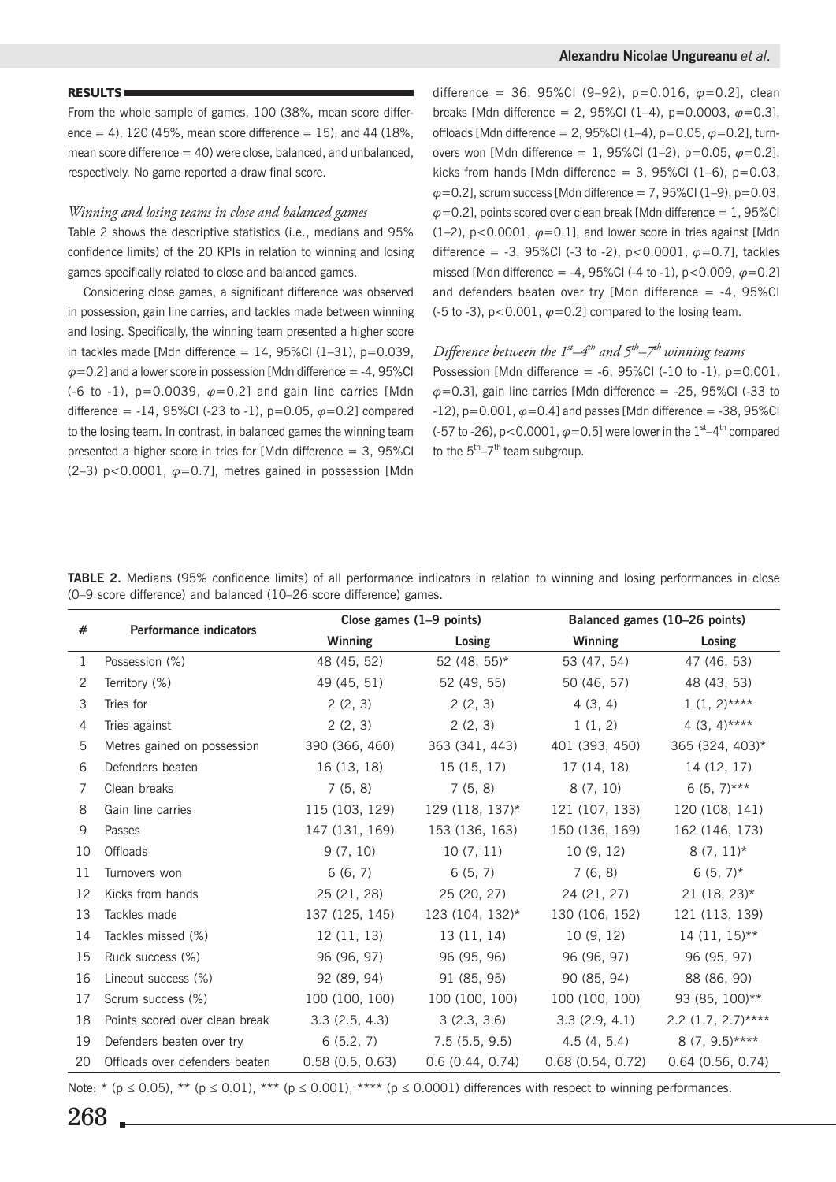#### **RESULTS**

From the whole sample of games, 100 (38%, mean score difference = 4), 120 (45%, mean score difference = 15), and 44 (18%, mean score difference  $= 40$ ) were close, balanced, and unbalanced, respectively. No game reported a draw final score.

#### *Winning and losing teams in close and balanced games*

Table 2 shows the descriptive statistics (i.e., medians and 95% confidence limits) of the 20 KPIs in relation to winning and losing games specifically related to close and balanced games.

Considering close games, a significant difference was observed in possession, gain line carries, and tackles made between winning and losing. Specifically, the winning team presented a higher score in tackles made [Mdn difference =  $14$ , 95%Cl (1-31), p=0.039, *φ*=0.2] and a lower score in possession [Mdn difference = -4, 95%CI (-6 to -1), p=0.0039, *φ*=0.2] and gain line carries [Mdn difference = -14, 95%CI (-23 to -1), p=0.05, *φ*=0.2] compared to the losing team. In contrast, in balanced games the winning team presented a higher score in tries for [Mdn difference = 3, 95%CI (2-3)  $p < 0.0001$ ,  $\varphi = 0.7$ ], metres gained in possession [Mdn] difference = 36, 95%CI (9–92), p=0.016, *φ*=0.2], clean breaks [Mdn difference = 2, 95%CI (1–4), p=0.0003, *φ*=0.3], offloads [Mdn difference = 2, 95%CI (1–4), p=0.05, *φ*=0.2], turnovers won [Mdn difference = 1, 95%CI (1–2), p=0.05, *φ*=0.2], kicks from hands [Mdn difference = 3, 95%CI  $(1-6)$ , p=0.03, *φ*=0.2], scrum success [Mdn difference = 7, 95%CI (1–9), p=0.03,  $\varphi$ =0.2], points scored over clean break [Mdn difference = 1, 95%CI (1–2),  $p < 0.0001$ ,  $\varphi = 0.1$ ], and lower score in tries against [Mdn difference = -3, 95%CI (-3 to -2), p<0.0001, *φ*=0.7], tackles missed [Mdn difference = -4, 95%CI (-4 to -1), p<0.009, *φ*=0.2] and defenders beaten over try [Mdn difference  $= -4$ , 95%CI (-5 to -3),  $p<0.001$ ,  $\varphi=0.2$ ] compared to the losing team.

# *Difference between the 1st–4th and 5th–7th winning teams*

Possession [Mdn difference =  $-6$ , 95%CI ( $-10$  to  $-1$ ), p=0.001, *φ*=0.3], gain line carries [Mdn difference = -25, 95%CI (-33 to  $-12$ ),  $p=0.001$ ,  $\varphi=0.4$ ] and passes [Mdn difference =  $-38$ , 95%CI (-57 to -26),  $p < 0.0001$ ,  $\varphi = 0.5$ ] were lower in the  $1<sup>st</sup>-4<sup>th</sup>$  compared to the  $5<sup>th</sup>-7<sup>th</sup>$  team subgroup.

|  |  |  | TABLE 2. Medians (95% confidence limits) of all performance indicators in relation to winning and losing performances in close |  |  |  |  |  |
|--|--|--|--------------------------------------------------------------------------------------------------------------------------------|--|--|--|--|--|
|  |  |  | (0–9 score difference) and balanced (10–26 score difference) games.                                                            |  |  |  |  |  |

|    |                                |                 | Close games $(1-9$ points)                        | Balanced games (10-26 points) |                      |  |  |  |
|----|--------------------------------|-----------------|---------------------------------------------------|-------------------------------|----------------------|--|--|--|
| #  | <b>Performance indicators</b>  | Winning         | Losing                                            | <b>Winning</b>                | Losing               |  |  |  |
| 1  | Possession (%)                 | 48 (45, 52)     | $52(48, 55)*$                                     | 53 (47, 54)                   | 47 (46, 53)          |  |  |  |
| 2  | Territory (%)                  | 49 (45, 51)     | 52 (49, 55)                                       | 50 (46, 57)                   | 48 (43, 53)          |  |  |  |
| 3  | Tries for                      | 2(2, 3)         | 2(2, 3)                                           | 4(3, 4)                       | $1(1, 2)$ ****       |  |  |  |
| 4  | Tries against                  | 2(2, 3)         | 2(2, 3)                                           | 1(1, 2)                       | $4(3, 4)***$         |  |  |  |
| 5  | Metres gained on possession    | 390 (366, 460)  | 363 (341, 443)                                    | 401 (393, 450)                | 365 (324, 403)*      |  |  |  |
| 6  | Defenders beaten               | 16 (13, 18)     | 15 (15, 17)                                       | 17 (14, 18)                   | 14 (12, 17)          |  |  |  |
| 7  | Clean breaks                   | 7(5, 8)         | 7(5, 8)<br>8 (7, 10)                              |                               | $6(5, 7)$ ***        |  |  |  |
| 8  | Gain line carries              |                 | $115(103, 129)$ 129 (118, 137)*<br>121 (107, 133) |                               | 120 (108, 141)       |  |  |  |
| 9  | Passes                         | 147 (131, 169)  | 153 (136, 163)                                    | 150 (136, 169)                | 162 (146, 173)       |  |  |  |
| 10 | <b>Offloads</b>                | 9(7, 10)        | 10(7, 11)                                         | 10(9, 12)                     | $8(7, 11)^*$         |  |  |  |
| 11 | Turnovers won                  | 6(6, 7)         | 6(5, 7)                                           | 7(6, 8)                       | $6(5, 7)^*$          |  |  |  |
| 12 | Kicks from hands               | 25 (21, 28)     | 25 (20, 27)                                       | 24 (21, 27)                   | $21(18, 23)*$        |  |  |  |
| 13 | Tackles made                   | 137 (125, 145)  | 123 (104, 132)*                                   | 130 (106, 152)                | 121 (113, 139)       |  |  |  |
| 14 | Tackles missed (%)             | 12(11, 13)      | 13 (11, 14)                                       | 10 (9, 12)                    | $14(11, 15)$ **      |  |  |  |
| 15 | Ruck success (%)               | 96 (96, 97)     | 96 (95, 96)                                       | 96 (96, 97)                   | 96 (95, 97)          |  |  |  |
| 16 | Lineout success (%)            | 92 (89, 94)     | 91 (85, 95)                                       | 90 (85, 94)                   | 88 (86, 90)          |  |  |  |
| 17 | Scrum success (%)              | 100 (100, 100)  | 100 (100, 100)                                    | 100 (100, 100)                | 93 (85, 100)**       |  |  |  |
| 18 | Points scored over clean break | 3.3(2.5, 4.3)   | 3(2.3, 3.6)                                       | 3.3(2.9, 4.1)                 | $2.2$ (1.7, 2.7)**** |  |  |  |
| 19 | Defenders beaten over try      | 6(5.2, 7)       | 7.5(5.5, 9.5)                                     | 4.5(4, 5.4)                   | $8(7, 9.5)***$       |  |  |  |
| 20 | Offloads over defenders beaten | 0.58(0.5, 0.63) | 0.6(0.44, 0.74)                                   | 0.68(0.54, 0.72)              | $0.64$ (0.56, 0.74)  |  |  |  |

Note: \* ( $p \le 0.05$ ), \*\* ( $p \le 0.01$ ), \*\*\* ( $p \le 0.001$ ), \*\*\*\* ( $p \le 0.0001$ ) differences with respect to winning performances.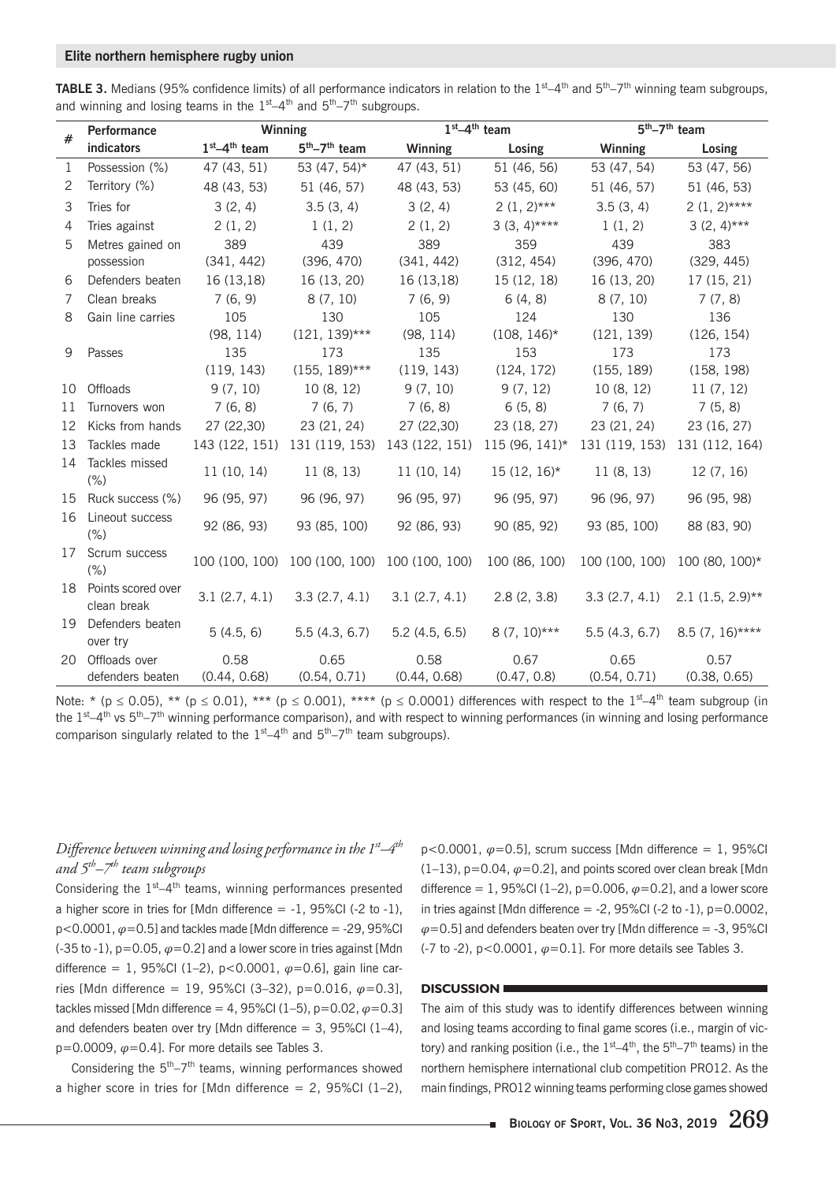#### **Elite northern hemisphere rugby union**

TABLE 3. Medians (95% confidence limits) of all performance indicators in relation to the 1<sup>st</sup>–4<sup>th</sup> and 5<sup>th</sup>–7<sup>th</sup> winning team subgroups, and winning and losing teams in the  $1<sup>st</sup>-4<sup>th</sup>$  and  $5<sup>th</sup>-7<sup>th</sup>$  subgroups.

|              | <b>Performance</b>                   | Winning              |                      | $1st-4th$ team                                             |                                                                                           | $\overline{5^{th}}$ -7 <sup>th</sup> team |                               |  |  |
|--------------|--------------------------------------|----------------------|----------------------|------------------------------------------------------------|-------------------------------------------------------------------------------------------|-------------------------------------------|-------------------------------|--|--|
| #            | indicators                           | $1st-4th$ team       | $5th-7th$ team       | <b>Winning</b>                                             | Losing                                                                                    | <b>Winning</b>                            | Losing                        |  |  |
| $\mathbf{1}$ | Possession (%)                       | 47 (43, 51)          | 53 (47, 54)*         | 47 (43, 51)                                                | 51 (46, 56)                                                                               | 53 (47, 54)                               | 53 (47, 56)                   |  |  |
| 2            | Territory (%)                        | 48 (43, 53)          | 51 (46, 57)          | 48 (43, 53)                                                | 53 (45, 60)                                                                               | 51 (46, 57)                               | 51 (46, 53)                   |  |  |
| 3            | Tries for                            | 3(2, 4)              | 3.5(3, 4)            | 3(2, 4)                                                    | $2(1, 2)***$                                                                              | 3.5(3, 4)                                 | $2(1, 2)$ ****                |  |  |
| 4            | Tries against                        | 2(1, 2)              | 1(1, 2)              | 2(1, 2)                                                    | $3(3, 4)***$                                                                              | 1(1, 2)                                   | $3(2, 4)***$                  |  |  |
| 5            | Metres gained on                     | 389                  | 439                  | 389                                                        | 359                                                                                       | 439                                       | 383                           |  |  |
|              | possession                           | (341, 442)           | (396, 470)           | (341, 442)                                                 | (312, 454)<br>(396, 470)                                                                  |                                           | (329, 445)                    |  |  |
| 6            | Defenders beaten                     | 16 (13,18)           | 16 (13, 20)          | 16(13,18)                                                  | 15 (12, 18)                                                                               | 16 (13, 20)                               | 17 (15, 21)                   |  |  |
| 7            | Clean breaks                         | 7(6, 9)              | 8(7, 10)             | 7(6, 9)                                                    | 6(4, 8)                                                                                   | 8(7, 10)                                  | 7(7, 8)                       |  |  |
| 8            | Gain line carries                    | 105                  | 130                  | 105                                                        | 124                                                                                       | 130                                       | 136                           |  |  |
|              |                                      | (98, 114)            | $(121, 139)$ ***     | (98, 114)                                                  | $(108, 146)^*$                                                                            | (121, 139)                                | (126, 154)                    |  |  |
| 9            | Passes                               | 135                  | 173                  | 135                                                        | 153                                                                                       | 173                                       | 173                           |  |  |
|              |                                      | (119, 143)           | $(155, 189)$ ***     | (119, 143)                                                 | (124, 172)                                                                                | (155, 189)                                | (158, 198)                    |  |  |
| 10           | Offloads                             | 9(7, 10)             | 10(8, 12)            | 9(7, 10)                                                   | 9 (7, 12)                                                                                 | 10(8, 12)                                 | 11(7, 12)                     |  |  |
| 11           | Turnovers won                        | 7(6, 8)              | 7(6, 7)              | 7(6, 8)                                                    | 6(5, 8)                                                                                   | 7(6, 7)                                   | 7(5, 8)                       |  |  |
|              | 12 Kicks from hands                  | 27 (22,30)           | 23 (21, 24)          | 27 (22,30)                                                 | 23 (18, 27)                                                                               | 23 (21, 24)                               | 23 (16, 27)                   |  |  |
| 13           | Tackles made                         |                      |                      |                                                            | 143 (122, 151) 131 (119, 153) 143 (122, 151) 115 (96, 141)* 131 (119, 153) 131 (112, 164) |                                           |                               |  |  |
| 14           | Tackles missed<br>11(10, 14)<br>(%)  |                      | 11(8, 13)            | 11(10, 14)                                                 | $15(12, 16)^*$                                                                            | 11(8, 13)                                 | 12(7, 16)                     |  |  |
|              | 15 Ruck success (%)                  | 96 (95, 97)          | 96 (96, 97)          | 96 (95, 97)                                                | 96 (95, 97)                                                                               | 96 (96, 97)                               | 96 (95, 98)                   |  |  |
|              | 16 Lineout success<br>$(\% )$        | 92 (86, 93)          | 93 (85, 100)         | 92 (86, 93)                                                | 90 (85, 92)                                                                               | 93 (85, 100)                              | 88 (83, 90)                   |  |  |
|              | 17 Scrum success<br>$(\% )$          |                      |                      | 100 (100, 100) 100 (100, 100) 100 (100, 100) 100 (86, 100) |                                                                                           |                                           | 100 (100, 100) 100 (80, 100)* |  |  |
|              | 18 Points scored over<br>clean break | 3.1(2.7, 4.1)        | 3.3(2.7, 4.1)        | 3.1(2.7, 4.1)                                              | 2.8(2, 3.8)                                                                               | 3.3(2.7, 4.1)                             | $2.1$ (1.5, 2.9)**            |  |  |
|              | 19 Defenders beaten<br>over try      | 5(4.5, 6)            | 5.5(4.3, 6.7)        | 5.2(4.5, 6.5)                                              | $8(7, 10)$ ***                                                                            | 5.5(4.3, 6.7)                             | $8.5(7, 16)$ ****             |  |  |
| 20           | Offloads over<br>defenders beaten    | 0.58<br>(0.44, 0.68) | 0.65<br>(0.54, 0.71) | 0.58<br>(0.44, 0.68)                                       | 0.67<br>(0.47, 0.8)                                                                       | 0.65<br>(0.54, 0.71)                      | 0.57<br>(0.38, 0.65)          |  |  |

Note: \* ( $p \le 0.05$ ), \*\* ( $p \le 0.01$ ), \*\*\* ( $p \le 0.001$ ), \*\*\*\* ( $p \le 0.0001$ ) differences with respect to the  $1^{st}-4^{th}$  team subgroup (in the  $1^{st}-4^{th}$  vs  $5^{th}-7^{th}$  winning performance comparison), and with respect to winning performances (in winning and losing performance comparison singularly related to the  $1<sup>st</sup>-4<sup>th</sup>$  and  $5<sup>th</sup>-7<sup>th</sup>$  team subgroups).

# *Difference between winning and losing performance in the 1st–4th and 5th–7th team subgroups*

Considering the  $1<sup>st</sup>-4<sup>th</sup>$  teams, winning performances presented a higher score in tries for [Mdn difference  $= -1$ , 95%CI (-2 to -1),  $p<0.0001, \varphi=0.5$ ] and tackles made [Mdn difference = -29, 95%CI (-35 to -1),  $p=0.05$ ,  $\varphi=0.2$ ] and a lower score in tries against [Mdn] difference = 1, 95%CI (1–2), p<0.0001, *φ*=0.6], gain line carries [Mdn difference = 19, 95%CI (3–32), p=0.016, *φ*=0.3], tackles missed [Mdn difference = 4, 95%CI (1-5),  $p=0.02$ ,  $\varphi=0.31$ and defenders beaten over try [Mdn difference  $= 3$ , 95%Cl (1-4), p=0.0009, *φ*=0.4]. For more details see Tables 3.

Considering the  $5<sup>th</sup>-7<sup>th</sup>$  teams, winning performances showed a higher score in tries for [Mdn difference  $= 2$ , 95%Cl (1-2),  $p<0.0001$ ,  $\varphi=0.5$ ], scrum success [Mdn difference = 1, 95%Cl  $(1-13)$ ,  $p=0.04$ ,  $\varphi=0.2$ ], and points scored over clean break [Mdn] difference = 1, 95%CI (1-2),  $p=0.006$ ,  $\varphi=0.2$ ], and a lower score in tries against [Mdn difference  $= -2$ , 95%CI (-2 to -1), p=0.0002,  $\varphi$ =0.5] and defenders beaten over try [Mdn difference = -3, 95%CI (-7 to -2), p<0.0001, *φ*=0.1]. For more details see Tables 3.

# **DISCUSSION**

The aim of this study was to identify differences between winning and losing teams according to final game scores (i.e., margin of victory) and ranking position (i.e., the  $1<sup>st</sup>-4<sup>th</sup>$ , the  $5<sup>th</sup>-7<sup>th</sup>$  teams) in the northern hemisphere international club competition PRO12. As the main findings, PRO12 winning teams performing close games showed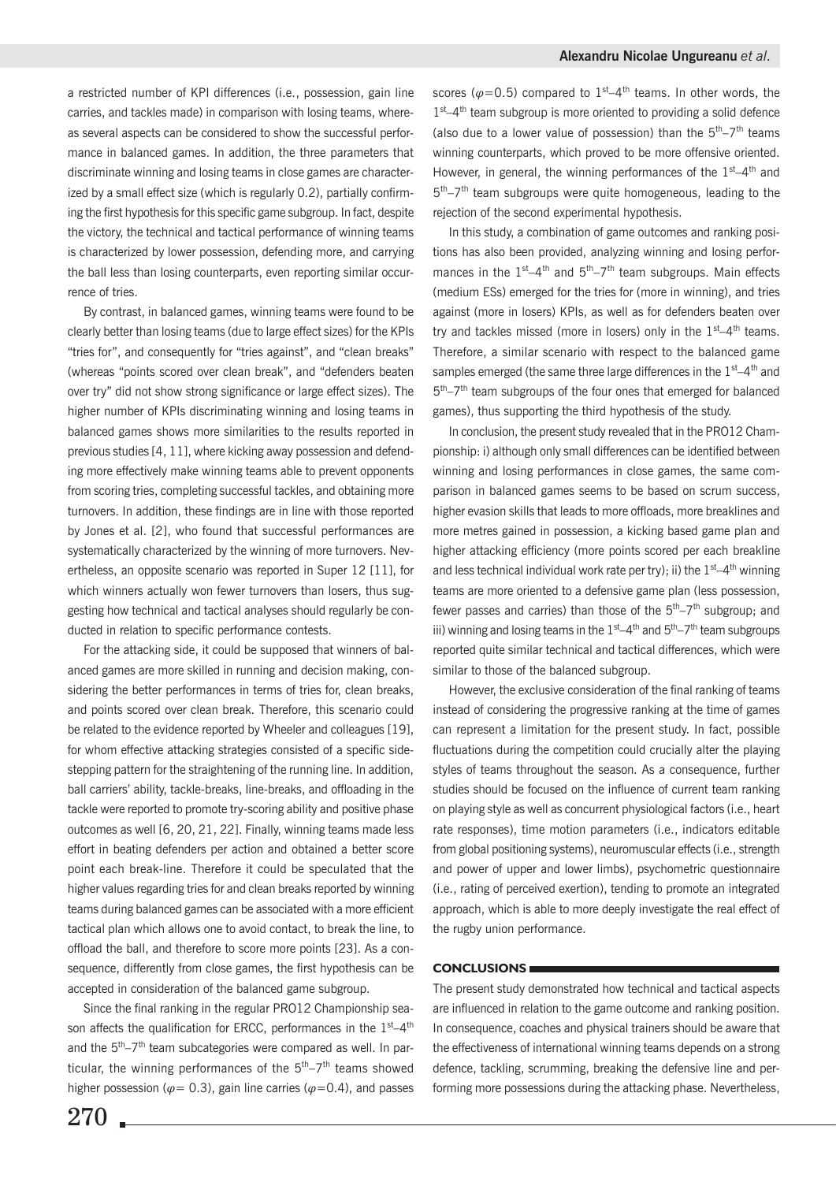a restricted number of KPI differences (i.e., possession, gain line carries, and tackles made) in comparison with losing teams, whereas several aspects can be considered to show the successful performance in balanced games. In addition, the three parameters that discriminate winning and losing teams in close games are characterized by a small effect size (which is regularly 0.2), partially confirming the first hypothesis for this specific game subgroup. In fact, despite the victory, the technical and tactical performance of winning teams is characterized by lower possession, defending more, and carrying the ball less than losing counterparts, even reporting similar occurrence of tries.

By contrast, in balanced games, winning teams were found to be clearly better than losing teams (due to large effect sizes) for the KPIs "tries for", and consequently for "tries against", and "clean breaks" (whereas "points scored over clean break", and "defenders beaten over try" did not show strong significance or large effect sizes). The higher number of KPIs discriminating winning and losing teams in balanced games shows more similarities to the results reported in previous studies [4, 11], where kicking away possession and defending more effectively make winning teams able to prevent opponents from scoring tries, completing successful tackles, and obtaining more turnovers. In addition, these findings are in line with those reported by Jones et al. [2], who found that successful performances are systematically characterized by the winning of more turnovers. Nevertheless, an opposite scenario was reported in Super 12 [11], for which winners actually won fewer turnovers than losers, thus suggesting how technical and tactical analyses should regularly be conducted in relation to specific performance contests.

For the attacking side, it could be supposed that winners of balanced games are more skilled in running and decision making, considering the better performances in terms of tries for, clean breaks, and points scored over clean break. Therefore, this scenario could be related to the evidence reported by Wheeler and colleagues [19], for whom effective attacking strategies consisted of a specific sidestepping pattern for the straightening of the running line. In addition, ball carriers' ability, tackle-breaks, line-breaks, and offloading in the tackle were reported to promote try-scoring ability and positive phase outcomes as well [6, 20, 21, 22]. Finally, winning teams made less effort in beating defenders per action and obtained a better score point each break-line. Therefore it could be speculated that the higher values regarding tries for and clean breaks reported by winning teams during balanced games can be associated with a more efficient tactical plan which allows one to avoid contact, to break the line, to offload the ball, and therefore to score more points [23]. As a consequence, differently from close games, the first hypothesis can be accepted in consideration of the balanced game subgroup.

Since the final ranking in the regular PRO12 Championship season affects the qualification for ERCC, performances in the  $1<sup>st</sup>-4<sup>th</sup>$ and the  $5<sup>th</sup>-7<sup>th</sup>$  team subcategories were compared as well. In particular, the winning performances of the  $5<sup>th</sup>-7<sup>th</sup>$  teams showed higher possession ( $\varphi$ = 0.3), gain line carries ( $\varphi$ =0.4), and passes scores ( $\varphi$ =0.5) compared to 1<sup>st</sup>–4<sup>th</sup> teams. In other words, the  $1<sup>st</sup>–4<sup>th</sup>$  team subgroup is more oriented to providing a solid defence (also due to a lower value of possession) than the  $5<sup>th</sup>-7<sup>th</sup>$  teams winning counterparts, which proved to be more offensive oriented. However, in general, the winning performances of the  $1<sup>st</sup>-4<sup>th</sup>$  and  $5<sup>th</sup> - 7<sup>th</sup>$  team subgroups were quite homogeneous, leading to the rejection of the second experimental hypothesis.

In this study, a combination of game outcomes and ranking positions has also been provided, analyzing winning and losing performances in the  $1<sup>st</sup>-4<sup>th</sup>$  and  $5<sup>th</sup>-7<sup>th</sup>$  team subgroups. Main effects (medium ESs) emerged for the tries for (more in winning), and tries against (more in losers) KPIs, as well as for defenders beaten over try and tackles missed (more in losers) only in the  $1<sup>st</sup>-4<sup>th</sup>$  teams. Therefore, a similar scenario with respect to the balanced game samples emerged (the same three large differences in the  $1<sup>st</sup>-4<sup>th</sup>$  and 5<sup>th</sup>–7<sup>th</sup> team subgroups of the four ones that emerged for balanced games), thus supporting the third hypothesis of the study.

In conclusion, the present study revealed that in the PRO12 Championship: i) although only small differences can be identified between winning and losing performances in close games, the same comparison in balanced games seems to be based on scrum success, higher evasion skills that leads to more offloads, more breaklines and more metres gained in possession, a kicking based game plan and higher attacking efficiency (more points scored per each breakline and less technical individual work rate per try); ii) the  $1<sup>st</sup>-4<sup>th</sup>$  winning teams are more oriented to a defensive game plan (less possession, fewer passes and carries) than those of the  $5<sup>th</sup> - 7<sup>th</sup>$  subgroup; and iii) winning and losing teams in the  $1<sup>st</sup>-4<sup>th</sup>$  and  $5<sup>th</sup>-7<sup>th</sup>$  team subgroups reported quite similar technical and tactical differences, which were similar to those of the balanced subgroup.

However, the exclusive consideration of the final ranking of teams instead of considering the progressive ranking at the time of games can represent a limitation for the present study. In fact, possible fluctuations during the competition could crucially alter the playing styles of teams throughout the season. As a consequence, further studies should be focused on the influence of current team ranking on playing style as well as concurrent physiological factors (i.e., heart rate responses), time motion parameters (i.e., indicators editable from global positioning systems), neuromuscular effects (i.e., strength and power of upper and lower limbs), psychometric questionnaire (i.e., rating of perceived exertion), tending to promote an integrated approach, which is able to more deeply investigate the real effect of the rugby union performance.

#### **CONCLUSIONS**

The present study demonstrated how technical and tactical aspects are influenced in relation to the game outcome and ranking position. In consequence, coaches and physical trainers should be aware that the effectiveness of international winning teams depends on a strong defence, tackling, scrumming, breaking the defensive line and performing more possessions during the attacking phase. Nevertheless,